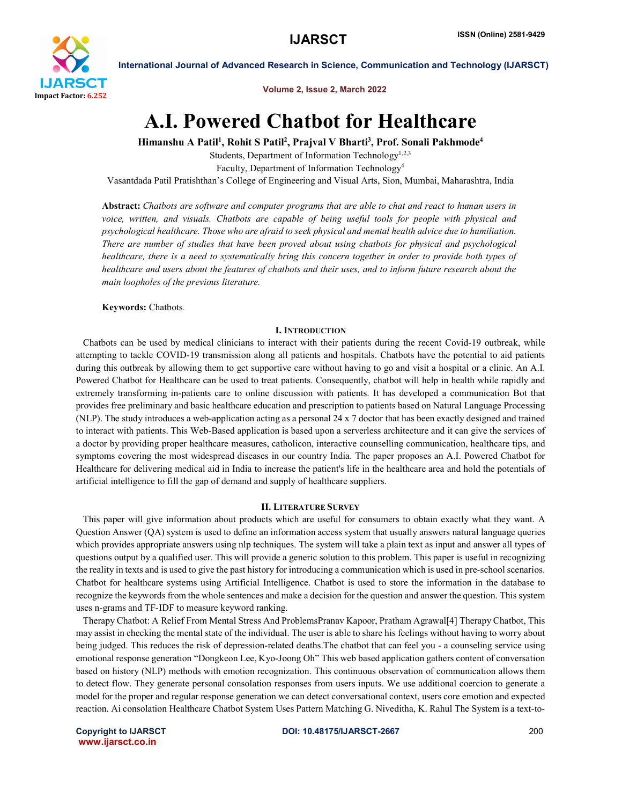

Volume 2, Issue 2, March 2022

# A.I. Powered Chatbot for Healthcare

Himanshu A Patil<sup>1</sup>, Rohit S Patil<sup>2</sup>, Prajval V Bharti<sup>3</sup>, Prof. Sonali Pakhmode<sup>4</sup>

Students, Department of Information Technology<sup>1,2,3</sup> Faculty, Department of Information Technology4 Vasantdada Patil Pratishthan's College of Engineering and Visual Arts, Sion, Mumbai, Maharashtra, India

Abstract: *Chatbots are software and computer programs that are able to chat and react to human users in voice, written, and visuals. Chatbots are capable of being useful tools for people with physical and psychological healthcare. Those who are afraid to seek physical and mental health advice due to humiliation. There are number of studies that have been proved about using chatbots for physical and psychological healthcare, there is a need to systematically bring this concern together in order to provide both types of healthcare and users about the features of chatbots and their uses, and to inform future research about the main loopholes of the previous literature.*

Keywords: Chatbots.

# I. INTRODUCTION

 Chatbots can be used by medical clinicians to interact with their patients during the recent Covid-19 outbreak, while attempting to tackle COVID-19 transmission along all patients and hospitals. Chatbots have the potential to aid patients during this outbreak by allowing them to get supportive care without having to go and visit a hospital or a clinic. An A.I. Powered Chatbot for Healthcare can be used to treat patients. Consequently, chatbot will help in health while rapidly and extremely transforming in-patients care to online discussion with patients. It has developed a communication Bot that provides free preliminary and basic healthcare education and prescription to patients based on Natural Language Processing (NLP). The study introduces a web-application acting as a personal 24 x 7 doctor that has been exactly designed and trained to interact with patients. This Web-Based application is based upon a serverless architecture and it can give the services of a doctor by providing proper healthcare measures, catholicon, interactive counselling communication, healthcare tips, and symptoms covering the most widespread diseases in our country India. The paper proposes an A.I. Powered Chatbot for Healthcare for delivering medical aid in India to increase the patient's life in the healthcare area and hold the potentials of artificial intelligence to fill the gap of demand and supply of healthcare suppliers.

## II. LITERATURE SURVEY

 This paper will give information about products which are useful for consumers to obtain exactly what they want. A Question Answer (QA) system is used to define an information access system that usually answers natural language queries which provides appropriate answers using nlp techniques. The system will take a plain text as input and answer all types of questions output by a qualified user. This will provide a generic solution to this problem. This paper is useful in recognizing the reality in texts and is used to give the past history for introducing a communication which is used in pre-school scenarios. Chatbot for healthcare systems using Artificial Intelligence. Chatbot is used to store the information in the database to recognize the keywords from the whole sentences and make a decision for the question and answer the question. This system uses n-grams and TF-IDF to measure keyword ranking.

 Therapy Chatbot: A Relief From Mental Stress And ProblemsPranav Kapoor, Pratham Agrawal[4] Therapy Chatbot, This may assist in checking the mental state of the individual. The user is able to share his feelings without having to worry about being judged. This reduces the risk of depression-related deaths.The chatbot that can feel you - a counseling service using emotional response generation "Dongkeon Lee, Kyo-Joong Oh" This web based application gathers content of conversation based on history (NLP) methods with emotion recognization. This continuous observation of communication allows them to detect flow. They generate personal consolation responses from users inputs. We use additional coercion to generate a model for the proper and regular response generation we can detect conversational context, users core emotion and expected reaction. Ai consolation Healthcare Chatbot System Uses Pattern Matching G. Niveditha, K. Rahul The System is a text-to-

www.ijarsct.co.in

Copyright to IJARSCT DOI: 10.48175/IJARSCT-2667 200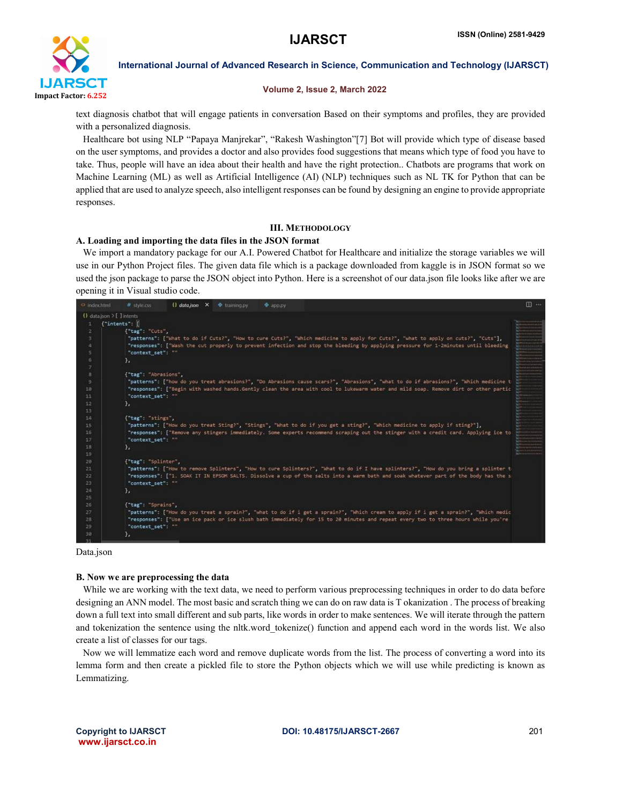

#### Volume 2, Issue 2, March 2022

text diagnosis chatbot that will engage patients in conversation Based on their symptoms and profiles, they are provided with a personalized diagnosis.

 Healthcare bot using NLP "Papaya Manjrekar", "Rakesh Washington"[7] Bot will provide which type of disease based on the user symptoms, and provides a doctor and also provides food suggestions that means which type of food you have to take. Thus, people will have an idea about their health and have the right protection.. Chatbots are programs that work on Machine Learning (ML) as well as Artificial Intelligence (AI) (NLP) techniques such as NL TK for Python that can be applied that are used to analyze speech, also intelligent responses can be found by designing an engine to provide appropriate responses.

## III. METHODOLOGY

# A. Loading and importing the data files in the JSON format

 We import a mandatory package for our A.I. Powered Chatbot for Healthcare and initialize the storage variables we will use in our Python Project files. The given data file which is a package downloaded from kaggle is in JSON format so we used the json package to parse the JSON object into Python. Here is a screenshot of our data.json file looks like after we are opening it in Visual studio code.



Data.json

#### B. Now we are preprocessing the data

While we are working with the text data, we need to perform various preprocessing techniques in order to do data before designing an ANN model. The most basic and scratch thing we can do on raw data is T okanization . The process of breaking down a full text into small different and sub parts, like words in order to make sentences. We will iterate through the pattern and tokenization the sentence using the nltk, word tokenize() function and append each word in the words list. We also create a list of classes for our tags.

 Now we will lemmatize each word and remove duplicate words from the list. The process of converting a word into its lemma form and then create a pickled file to store the Python objects which we will use while predicting is known as Lemmatizing.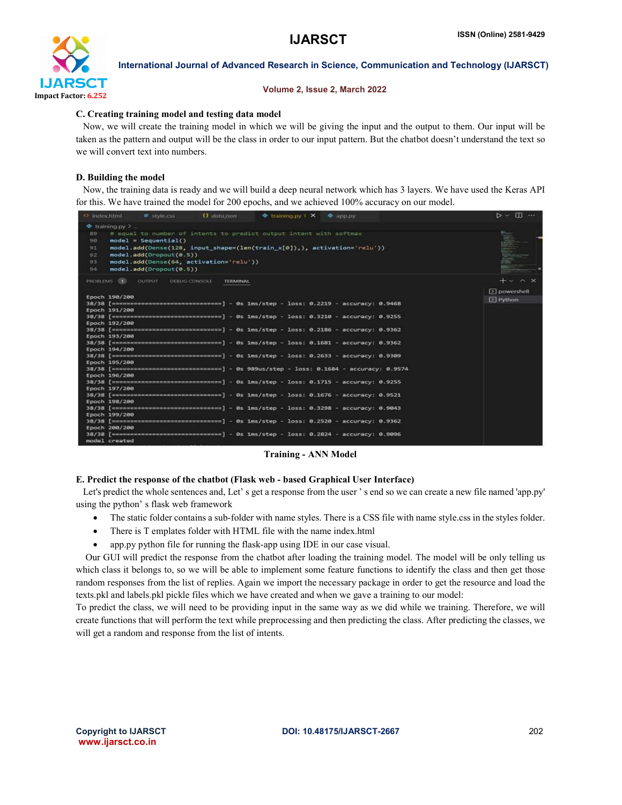

#### Volume 2, Issue 2, March 2022

## C. Creating training model and testing data model

 Now, we will create the training model in which we will be giving the input and the output to them. Our input will be taken as the pattern and output will be the class in order to our input pattern. But the chatbot doesn't understand the text so we will convert text into numbers.

# D. Building the model

 Now, the training data is ready and we will build a deep neural network which has 3 layers. We have used the Keras API for this. We have trained the model for 200 epochs, and we achieved 100% accuracy on our model.

| <b>D</b> data ison<br>$\bullet$ training.py 1 $\times$ $\bullet$ app.py<br># style.css<br><> index.html    | $D \times \Box \cdots$ |
|------------------------------------------------------------------------------------------------------------|------------------------|
| $r$ training py $\geq$                                                                                     |                        |
| # equal to number of intents to predict output intent with softmax<br>89                                   |                        |
| $model = Sequential()$<br>90                                                                               |                        |
| model.add(Dense(128, input_shape=(len(train_x[0]),), activation='relu'))<br>91                             |                        |
| model.add(Dropout(0.5))<br>92                                                                              |                        |
| model.add(Dense(64, activation='relu'))<br>93                                                              |                        |
|                                                                                                            |                        |
| model.add(Dropout(0.5))<br>94                                                                              |                        |
| PROBLEMS <b>ET</b><br><b>OUTPUT</b><br>DEBUG CONSOLE<br><b>TERMINAL</b>                                    | $+$ $\sim$ $\times$    |
|                                                                                                            | $[5]$ powershell       |
| Epoch 190/200                                                                                              | $[3]$ Python           |
|                                                                                                            |                        |
| Epoch 191/200                                                                                              |                        |
| 38/38 [иниминининининининининининининини] - 0s 1ms/step - loss: 0.3210 - accuracy: 0.9255                  |                        |
| Epoch 192/200                                                                                              |                        |
| 38/38 [ ================================= ] - 0s 1ms/step - loss: 0.2186 - accuracy: 0.9362                |                        |
| Epoch 193/200                                                                                              |                        |
|                                                                                                            |                        |
| Epoch 194/200                                                                                              |                        |
| 38/38 [wasaannamaannamaannamaannamaa] - 0s 1ms/step - loss: 0.2633 - accuracy: 0.9309                      |                        |
| Epoch 195/200                                                                                              |                        |
| 38/38 [===================================] - 0s 989us/step - loss: 0.1684 - accuracy: 0.9574              |                        |
| Epoch 196/200                                                                                              |                        |
| 38/38 [================================] - 0s 1ms/step - loss: 0.1715 - accuracy: 0.9255                   |                        |
| Epoch 197/200                                                                                              |                        |
| 38/38 [**********************************] - 0s 1ms/step - loss: 0.1676 - accuracy: 0.9521                 |                        |
| Epoch 198/200                                                                                              |                        |
| 38/38 [=================================] - 0s 1ms/step - loss: 0.3298 - accuracy: 0.9043<br>Epoch 199/200 |                        |
| 38/38 [ mensensensensensensensensensen] - 0s 1ms/step - loss: 0.2520 - accuracy: 0.9362                    |                        |
| Epoch 200/200                                                                                              |                        |
|                                                                                                            |                        |
| model created                                                                                              |                        |

Training - ANN Model

# E. Predict the response of the chatbot (Flask web - based Graphical User Interface)

Let's predict the whole sentences and, Let' s get a response from the user' s end so we can create a new file named 'app.py' using the python' s flask web framework

- The static folder contains a sub-folder with name styles. There is a CSS file with name style.css in the styles folder.
- There is T emplates folder with HTML file with the name index.html
- app.py python file for running the flask-app using IDE in our case visual.

 Our GUI will predict the response from the chatbot after loading the training model. The model will be only telling us which class it belongs to, so we will be able to implement some feature functions to identify the class and then get those random responses from the list of replies. Again we import the necessary package in order to get the resource and load the texts.pkl and labels.pkl pickle files which we have created and when we gave a training to our model:

To predict the class, we will need to be providing input in the same way as we did while we training. Therefore, we will create functions that will perform the text while preprocessing and then predicting the class. After predicting the classes, we will get a random and response from the list of intents.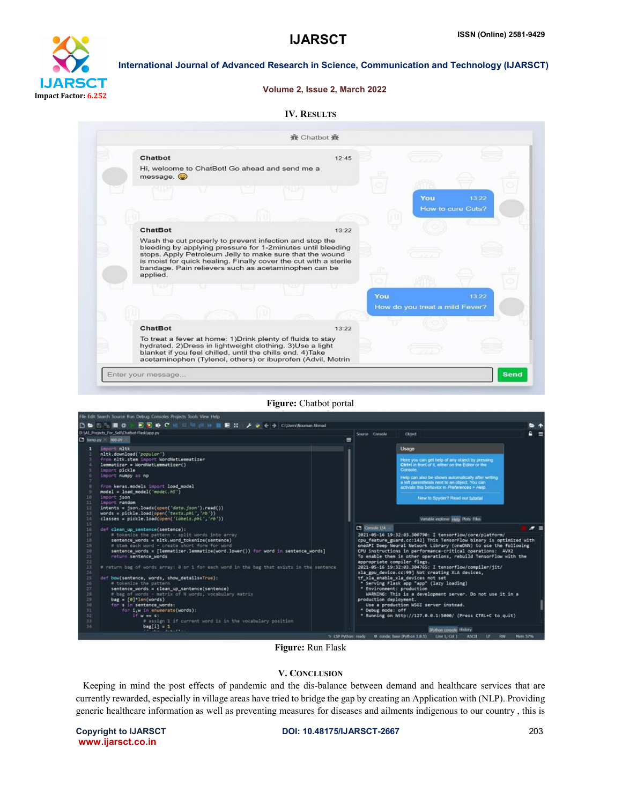

#### Volume 2, Issue 2, March 2022

| <b>IV. RESULTS</b> |
|--------------------|
|                    |



#### Figure: Chatbot portal



## Figure: Run Flask

#### V. CONCLUSION

 Keeping in mind the post effects of pandemic and the dis-balance between demand and healthcare services that are currently rewarded, especially in village areas have tried to bridge the gap by creating an Application with (NLP). Providing generic healthcare information as well as preventing measures for diseases and ailments indigenous to our country , this is

www.ijarsct.co.in

Copyright to IJARSCT DOI: 10.48175/IJARSCT-2667 203